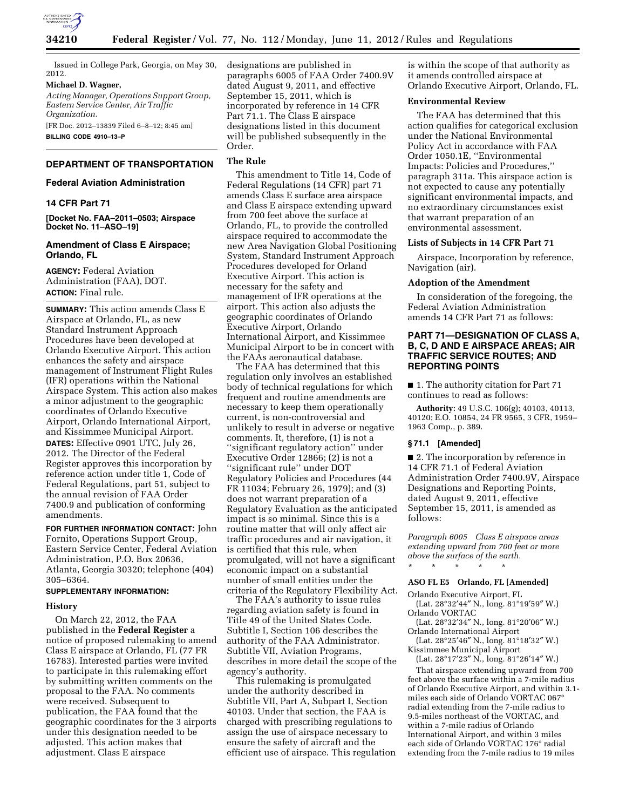

Issued in College Park, Georgia, on May 30, 2012.

### **Michael D. Wagner,**

*Acting Manager, Operations Support Group, Eastern Service Center, Air Traffic Organization.* 

[FR Doc. 2012–13839 Filed 6–8–12; 8:45 am] **BILLING CODE 4910–13–P** 

# **DEPARTMENT OF TRANSPORTATION**

### **Federal Aviation Administration**

# **14 CFR Part 71**

**[Docket No. FAA–2011–0503; Airspace Docket No. 11–ASO–19]** 

# **Amendment of Class E Airspace; Orlando, FL**

**AGENCY:** Federal Aviation Administration (FAA), DOT. **ACTION:** Final rule.

**SUMMARY:** This action amends Class E Airspace at Orlando, FL, as new Standard Instrument Approach Procedures have been developed at Orlando Executive Airport. This action enhances the safety and airspace management of Instrument Flight Rules (IFR) operations within the National Airspace System. This action also makes a minor adjustment to the geographic coordinates of Orlando Executive Airport, Orlando International Airport, and Kissimmee Municipal Airport. **DATES:** Effective 0901 UTC, July 26, 2012. The Director of the Federal Register approves this incorporation by reference action under title 1, Code of Federal Regulations, part 51, subject to the annual revision of FAA Order 7400.9 and publication of conforming amendments.

**FOR FURTHER INFORMATION CONTACT:** John Fornito, Operations Support Group, Eastern Service Center, Federal Aviation Administration, P.O. Box 20636, Atlanta, Georgia 30320; telephone (404) 305–6364.

### **SUPPLEMENTARY INFORMATION:**

### **History**

On March 22, 2012, the FAA published in the **Federal Register** a notice of proposed rulemaking to amend Class E airspace at Orlando, FL (77 FR 16783). Interested parties were invited to participate in this rulemaking effort by submitting written comments on the proposal to the FAA. No comments were received. Subsequent to publication, the FAA found that the geographic coordinates for the 3 airports under this designation needed to be adjusted. This action makes that adjustment. Class E airspace

designations are published in paragraphs 6005 of FAA Order 7400.9V dated August 9, 2011, and effective September 15, 2011, which is incorporated by reference in 14 CFR Part 71.1. The Class E airspace designations listed in this document will be published subsequently in the Order.

# **The Rule**

This amendment to Title 14, Code of Federal Regulations (14 CFR) part 71 amends Class E surface area airspace and Class E airspace extending upward from 700 feet above the surface at Orlando, FL, to provide the controlled airspace required to accommodate the new Area Navigation Global Positioning System, Standard Instrument Approach Procedures developed for Orland Executive Airport. This action is necessary for the safety and management of IFR operations at the airport. This action also adjusts the geographic coordinates of Orlando Executive Airport, Orlando International Airport, and Kissimmee Municipal Airport to be in concert with the FAAs aeronautical database.

The FAA has determined that this regulation only involves an established body of technical regulations for which frequent and routine amendments are necessary to keep them operationally current, is non-controversial and unlikely to result in adverse or negative comments. It, therefore, (1) is not a ''significant regulatory action'' under Executive Order 12866; (2) is not a ''significant rule'' under DOT Regulatory Policies and Procedures (44 FR 11034; February 26, 1979); and (3) does not warrant preparation of a Regulatory Evaluation as the anticipated impact is so minimal. Since this is a routine matter that will only affect air traffic procedures and air navigation, it is certified that this rule, when promulgated, will not have a significant economic impact on a substantial number of small entities under the criteria of the Regulatory Flexibility Act.

The FAA's authority to issue rules regarding aviation safety is found in Title 49 of the United States Code. Subtitle I, Section 106 describes the authority of the FAA Administrator. Subtitle VII, Aviation Programs, describes in more detail the scope of the agency's authority.

This rulemaking is promulgated under the authority described in Subtitle VII, Part A, Subpart I, Section 40103. Under that section, the FAA is charged with prescribing regulations to assign the use of airspace necessary to ensure the safety of aircraft and the efficient use of airspace. This regulation is within the scope of that authority as it amends controlled airspace at Orlando Executive Airport, Orlando, FL.

# **Environmental Review**

The FAA has determined that this action qualifies for categorical exclusion under the National Environmental Policy Act in accordance with FAA Order 1050.1E, ''Environmental Impacts: Policies and Procedures,'' paragraph 311a. This airspace action is not expected to cause any potentially significant environmental impacts, and no extraordinary circumstances exist that warrant preparation of an environmental assessment.

## **Lists of Subjects in 14 CFR Part 71**

Airspace, Incorporation by reference, Navigation (air).

#### **Adoption of the Amendment**

In consideration of the foregoing, the Federal Aviation Administration amends 14 CFR Part 71 as follows:

# **PART 71—DESIGNATION OF CLASS A, B, C, D AND E AIRSPACE AREAS; AIR TRAFFIC SERVICE ROUTES; AND REPORTING POINTS**

■ 1. The authority citation for Part 71 continues to read as follows:

**Authority:** 49 U.S.C. 106(g); 40103, 40113, 40120; E.O. 10854, 24 FR 9565, 3 CFR, 1959– 1963 Comp., p. 389.

#### **§ 71.1 [Amended]**

■ 2. The incorporation by reference in 14 CFR 71.1 of Federal Aviation Administration Order 7400.9V, Airspace Designations and Reporting Points, dated August 9, 2011, effective September 15, 2011, is amended as follows:

*Paragraph 6005 Class E airspace areas extending upward from 700 feet or more above the surface of the earth.*  \* \* \* \* \*

### **ASO FL E5 Orlando, FL [Amended]**

Orlando Executive Airport, FL (Lat. 28°32′44″ N., long. 81°19′59″ W.)

Orlando VORTAC (Lat. 28°32′34″ N., long. 81°20′06″ W.)

Orlando International Airport (Lat. 28°25′46″ N., long. 81°18′32″ W.)

Kissimmee Municipal Airport (Lat. 28°17′23″ N., long. 81°26′14″ W.)

That airspace extending upward from 700 feet above the surface within a 7-mile radius of Orlando Executive Airport, and within 3.1 miles each side of Orlando VORTAC 067° radial extending from the 7-mile radius to 9.5-miles northeast of the VORTAC, and within a 7-mile radius of Orlando International Airport, and within 3 miles each side of Orlando VORTAC 176° radial extending from the 7-mile radius to 19 miles